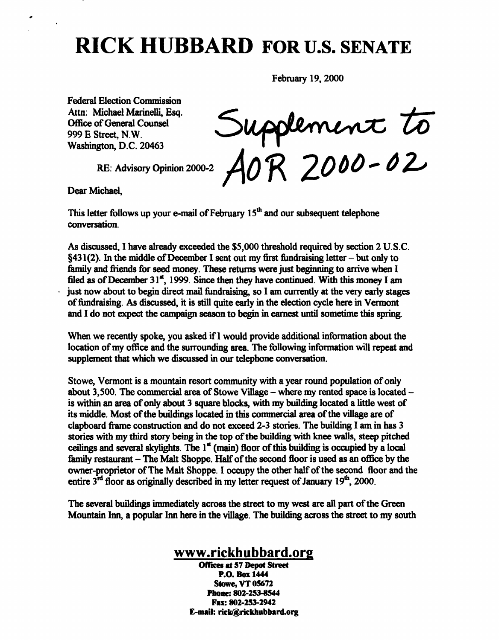## RICK HUBBARD FOR U.S. SENATE

February 19, 2000

Federal Election Commission Attn: Michael Marinelli, Esq. Washington, D.C. 20463

Attn: Michael Marinelli, Esq.<br>Office of General Counsel Supplement Io Office of General Counsel  $\bigcup \mathcal{U}$ <br>999 E Street, N.W. 2000-

RE: Advisory Opinion 2000-2

Dear Michael,

This letter follows up your e-mail of February 15<sup>th</sup> and our subsequent telephone conversation.

As discussed, I have already exceeded the \$5,000 threshold required by section 2 U.S.C.  $§431(2)$ . In the middle of December I sent out my first fundraising letter – but only to family and friends for seed money. These returns were just beginning to arrive when 1 filed as of December 31 $^{\mathsf{st}}$ , 1999. Since then they have continued. With this money I am just now about to begin direct mail fundraising, so I am currently at the very early stages of fundraising. As discussed, it is still quite early in the election cycle here in Vermont and I do not expect the campaign season to begin in earnest until sometime this spring.

When we recently spoke, you asked if I would provide additional information about the location of my office and the surrounding area. The following information will repeat and supplement that which we discussed in our telephone conversation.

Stowe, Vermont is a mountain resort community with a year round population of only about 3,500. The commercial area of Stowe Village  $-$  where my rented space is located  $$ is within an area of only about 3 square blocks, with my building located a little west of its middle. Most of the buildings located in this commercial area of the village are of clapboard frame construction and do not exceed 2-3 stories. The building I am in has 3 stories with my third story being in the top of the building with knee walls, steep pitched ceilings and several skylights. The  $1<sup>st</sup>$  (main) floor of this building is occupied by a local family restaurant - The Malt Shoppe. Half of the second floor is used as an office by the owner-proprietor of The Malt Shoppe. I occupy the other half of the second floor and the entire  $3<sup>rd</sup>$  floor as originally described in my letter request of January  $19<sup>th</sup>$ , 2000.

The several buildings immediately across the street to my west are all part of the Green Mountain Inn, a popular Inn here in the village. The building across the street to my south

## www.rickhubbard.org

Offices at 57 Depot Street P.O. Box 1444 Stowe, VT 05672 Phone: 802-253-8544 Fax: 802-253-2942 E-mail: rick@rickhubbard.org